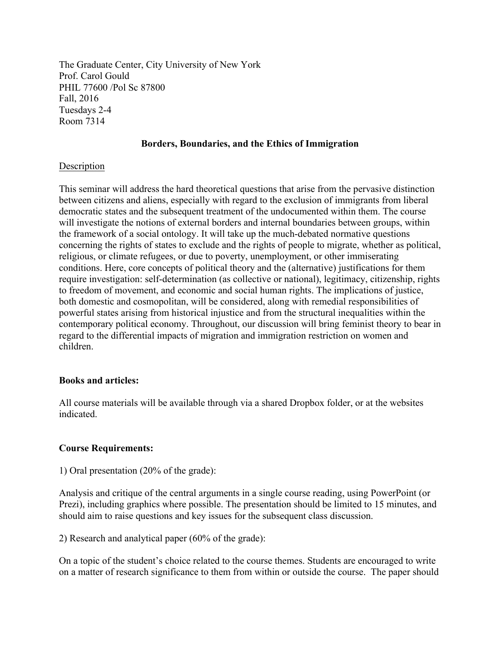The Graduate Center, City University of New York Prof. Carol Gould PHIL 77600 /Pol Sc 87800 Fall, 2016 Tuesdays 2-4 Room 7314

#### **Borders, Boundaries, and the Ethics of Immigration**

#### Description

This seminar will address the hard theoretical questions that arise from the pervasive distinction between citizens and aliens, especially with regard to the exclusion of immigrants from liberal democratic states and the subsequent treatment of the undocumented within them. The course will investigate the notions of external borders and internal boundaries between groups, within the framework of a social ontology. It will take up the much-debated normative questions concerning the rights of states to exclude and the rights of people to migrate, whether as political, religious, or climate refugees, or due to poverty, unemployment, or other immiserating conditions. Here, core concepts of political theory and the (alternative) justifications for them require investigation: self-determination (as collective or national), legitimacy, citizenship, rights to freedom of movement, and economic and social human rights. The implications of justice, both domestic and cosmopolitan, will be considered, along with remedial responsibilities of powerful states arising from historical injustice and from the structural inequalities within the contemporary political economy. Throughout, our discussion will bring feminist theory to bear in regard to the differential impacts of migration and immigration restriction on women and children.

#### **Books and articles:**

All course materials will be available through via a shared Dropbox folder, or at the websites indicated.

#### **Course Requirements:**

1) Oral presentation (20% of the grade):

Analysis and critique of the central arguments in a single course reading, using PowerPoint (or Prezi), including graphics where possible. The presentation should be limited to 15 minutes, and should aim to raise questions and key issues for the subsequent class discussion.

2) Research and analytical paper (60% of the grade):

On a topic of the student's choice related to the course themes. Students are encouraged to write on a matter of research significance to them from within or outside the course. The paper should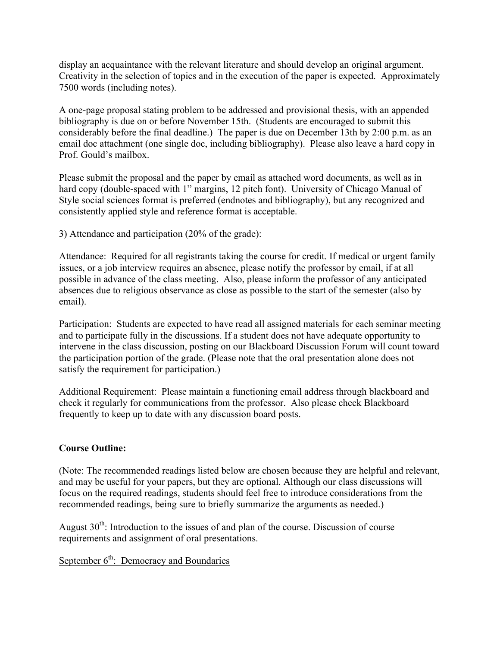display an acquaintance with the relevant literature and should develop an original argument. Creativity in the selection of topics and in the execution of the paper is expected. Approximately 7500 words (including notes).

A one-page proposal stating problem to be addressed and provisional thesis, with an appended bibliography is due on or before November 15th. (Students are encouraged to submit this considerably before the final deadline.) The paper is due on December 13th by 2:00 p.m. as an email doc attachment (one single doc, including bibliography). Please also leave a hard copy in Prof. Gould's mailbox.

Please submit the proposal and the paper by email as attached word documents, as well as in hard copy (double-spaced with 1" margins, 12 pitch font). University of Chicago Manual of Style social sciences format is preferred (endnotes and bibliography), but any recognized and consistently applied style and reference format is acceptable.

3) Attendance and participation (20% of the grade):

Attendance: Required for all registrants taking the course for credit. If medical or urgent family issues, or a job interview requires an absence, please notify the professor by email, if at all possible in advance of the class meeting. Also, please inform the professor of any anticipated absences due to religious observance as close as possible to the start of the semester (also by email).

Participation: Students are expected to have read all assigned materials for each seminar meeting and to participate fully in the discussions. If a student does not have adequate opportunity to intervene in the class discussion, posting on our Blackboard Discussion Forum will count toward the participation portion of the grade. (Please note that the oral presentation alone does not satisfy the requirement for participation.)

Additional Requirement: Please maintain a functioning email address through blackboard and check it regularly for communications from the professor. Also please check Blackboard frequently to keep up to date with any discussion board posts.

#### **Course Outline:**

(Note: The recommended readings listed below are chosen because they are helpful and relevant, and may be useful for your papers, but they are optional. Although our class discussions will focus on the required readings, students should feel free to introduce considerations from the recommended readings, being sure to briefly summarize the arguments as needed.)

August  $30<sup>th</sup>$ : Introduction to the issues of and plan of the course. Discussion of course requirements and assignment of oral presentations.

September  $6<sup>th</sup>$ : Democracy and Boundaries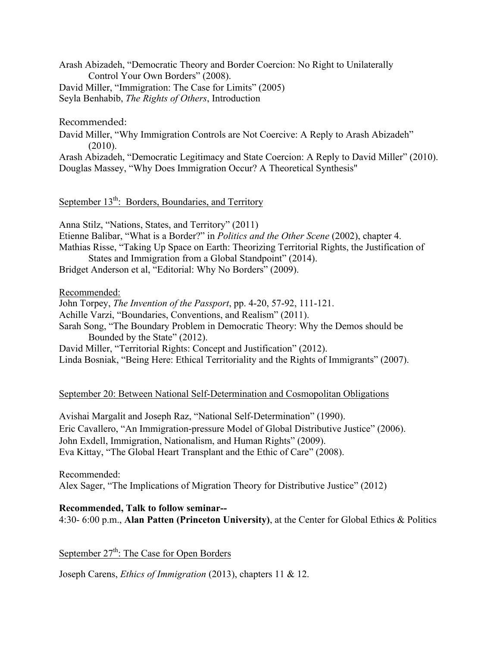Arash Abizadeh, "Democratic Theory and Border Coercion: No Right to Unilaterally Control Your Own Borders" (2008).

David Miller, "Immigration: The Case for Limits" (2005) Seyla Benhabib, *The Rights of Others*, Introduction

Recommended:

David Miller, "Why Immigration Controls are Not Coercive: A Reply to Arash Abizadeh" (2010).

Arash Abizadeh, "Democratic Legitimacy and State Coercion: A Reply to David Miller" (2010). Douglas Massey, "Why Does Immigration Occur? A Theoretical Synthesis"

September  $13<sup>th</sup>$ : Borders, Boundaries, and Territory

Anna Stilz, "Nations, States, and Territory" (2011) Etienne Balibar, "What is a Border?" in *Politics and the Other Scene* (2002), chapter 4. Mathias Risse, "Taking Up Space on Earth: Theorizing Territorial Rights, the Justification of States and Immigration from a Global Standpoint" (2014). Bridget Anderson et al, "Editorial: Why No Borders" (2009).

Recommended:

John Torpey, *The Invention of the Passport*, pp. 4-20, 57-92, 111-121. Achille Varzi, "Boundaries, Conventions, and Realism" (2011). Sarah Song, "The Boundary Problem in Democratic Theory: Why the Demos should be Bounded by the State" (2012).

David Miller, "Territorial Rights: Concept and Justification" (2012).

Linda Bosniak, "Being Here: Ethical Territoriality and the Rights of Immigrants" (2007).

#### September 20: Between National Self-Determination and Cosmopolitan Obligations

Avishai Margalit and Joseph Raz, "National Self-Determination" (1990). Eric Cavallero, "An Immigration-pressure Model of Global Distributive Justice" (2006). John Exdell, Immigration, Nationalism, and Human Rights" (2009). Eva Kittay, "The Global Heart Transplant and the Ethic of Care" (2008).

Recommended: Alex Sager, "The Implications of Migration Theory for Distributive Justice" (2012)

#### **Recommended, Talk to follow seminar--**

4:30- 6:00 p.m., **Alan Patten (Princeton University)**, at the Center for Global Ethics & Politics

September 27<sup>th</sup>: The Case for Open Borders

Joseph Carens, *Ethics of Immigration* (2013), chapters 11 & 12.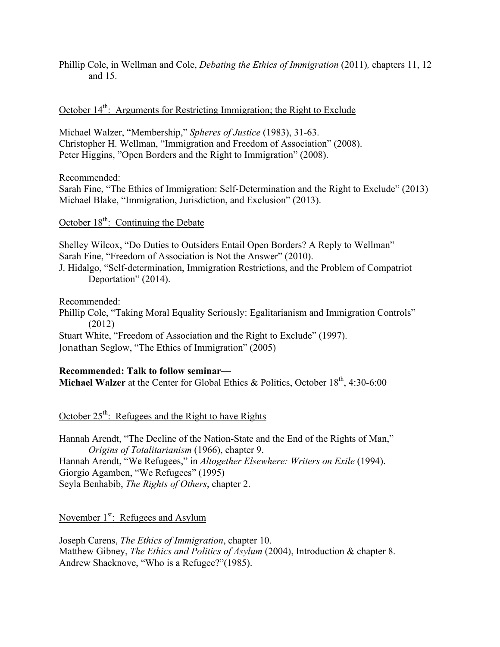Phillip Cole, in Wellman and Cole, *Debating the Ethics of Immigration* (2011)*,* chapters 11, 12 and 15.

### October  $14<sup>th</sup>$ : Arguments for Restricting Immigration; the Right to Exclude

Michael Walzer, "Membership," *Spheres of Justice* (1983), 31-63. Christopher H. Wellman, "Immigration and Freedom of Association" (2008). Peter Higgins, "Open Borders and the Right to Immigration" (2008).

Recommended:

Sarah Fine, "The Ethics of Immigration: Self-Determination and the Right to Exclude" (2013) Michael Blake, "Immigration, Jurisdiction, and Exclusion" (2013).

# October  $18<sup>th</sup>$ : Continuing the Debate

Shelley Wilcox, "Do Duties to Outsiders Entail Open Borders? A Reply to Wellman" Sarah Fine, "Freedom of Association is Not the Answer" (2010).

J. Hidalgo, "Self-determination, Immigration Restrictions, and the Problem of Compatriot Deportation" (2014).

Recommended:

Phillip Cole, "Taking Moral Equality Seriously: Egalitarianism and Immigration Controls" (2012)

Stuart White, "Freedom of Association and the Right to Exclude" (1997). Jonathan Seglow, "The Ethics of Immigration" (2005)

#### **Recommended: Talk to follow seminar—**

**Michael Walzer** at the Center for Global Ethics & Politics, October 18<sup>th</sup>, 4:30-6:00

# October  $25<sup>th</sup>$ : Refugees and the Right to have Rights

Hannah Arendt, "The Decline of the Nation-State and the End of the Rights of Man," *Origins of Totalitarianism* (1966), chapter 9. Hannah Arendt, "We Refugees," in *Altogether Elsewhere: Writers on Exile* (1994). Giorgio Agamben, "We Refugees" (1995) Seyla Benhabib, *The Rights of Others*, chapter 2.

November 1<sup>st</sup>: Refugees and Asylum

Joseph Carens, *The Ethics of Immigration*, chapter 10. Matthew Gibney, *The Ethics and Politics of Asylum* (2004), Introduction & chapter 8. Andrew Shacknove, "Who is a Refugee?"(1985).